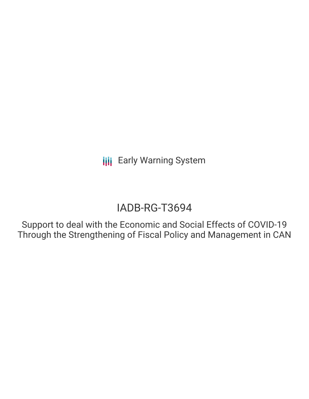# IADB-RG-T3694

Support to deal with the Economic and Social Effects of COVID-19 Through the Strengthening of Fiscal Policy and Management in CAN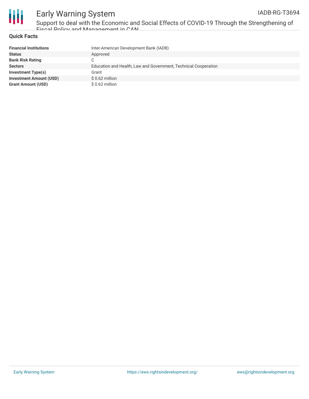



Support to deal with the Economic and Social Effects of COVID-19 Through the Strengthening of Fiscal Policy and Management in CAN

### **Quick Facts**

| <b>Financial Institutions</b>  | Inter-American Development Bank (IADB)                          |
|--------------------------------|-----------------------------------------------------------------|
| <b>Status</b>                  | Approved                                                        |
| <b>Bank Risk Rating</b>        |                                                                 |
| <b>Sectors</b>                 | Education and Health, Law and Government, Technical Cooperation |
| Investment Type(s)             | Grant                                                           |
| <b>Investment Amount (USD)</b> | $$0.62$ million                                                 |
| <b>Grant Amount (USD)</b>      | $$0.62$ million                                                 |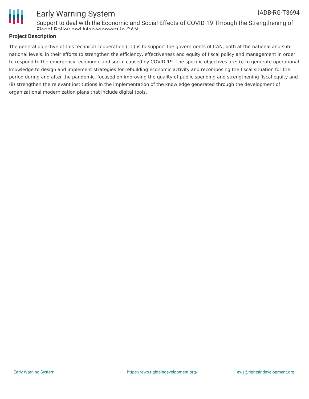

Support to deal with the Economic and Social Effects of COVID-19 Through the Strengthening of Fiscal Policy and Management in CAN

### **Project Description**

The general objective of this technical cooperation (TC) is to support the governments of CAN, both at the national and subnational levels, in their efforts to strengthen the efficiency, effectiveness and equity of fiscal policy and management in order to respond to the emergency. economic and social caused by COVID-19. The specific objectives are: (i) to generate operational knowledge to design and implement strategies for rebuilding economic activity and recomposing the fiscal situation for the period during and after the pandemic, focused on improving the quality of public spending and strengthening fiscal equity and (ii) strengthen the relevant institutions in the implementation of the knowledge generated through the development of organizational modernization plans that include digital tools.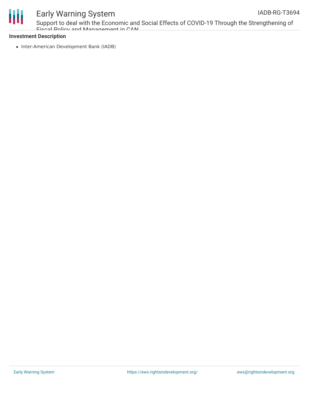



Support to deal with the Economic and Social Effects of COVID-19 Through the Strengthening of Fiscal Policy and Management in CAN

#### **Investment Description**

• Inter-American Development Bank (IADB)